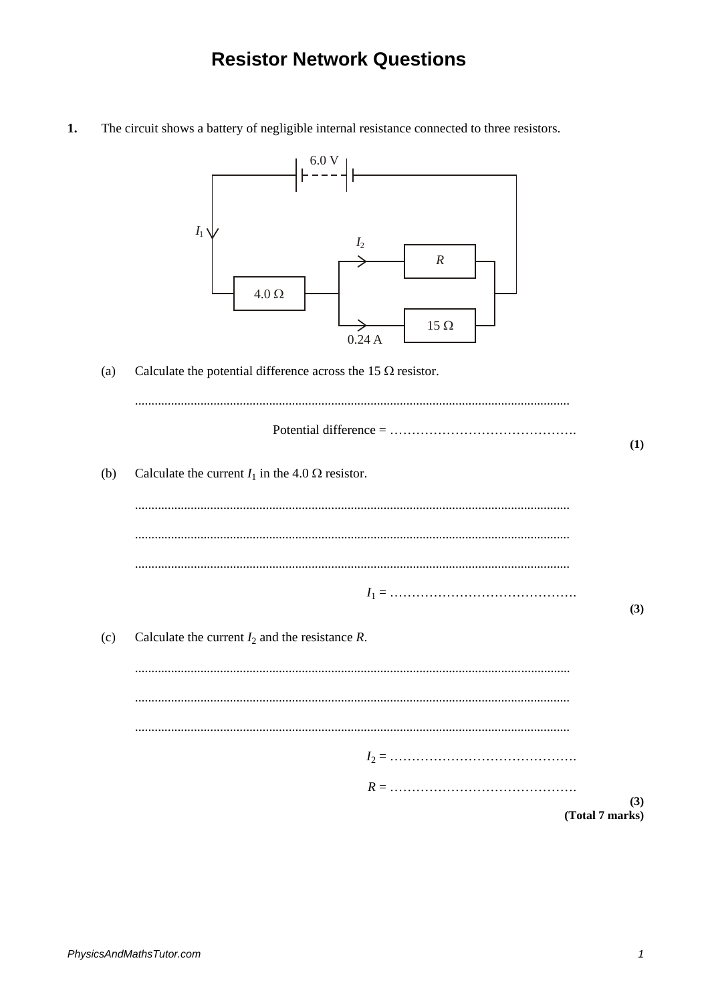## **Resistor Network Questions**

 $1.$ The circuit shows a battery of negligible internal resistance connected to three resistors.



Calculate the potential difference across the 15  $\Omega$  resistor.  $(a)$ 

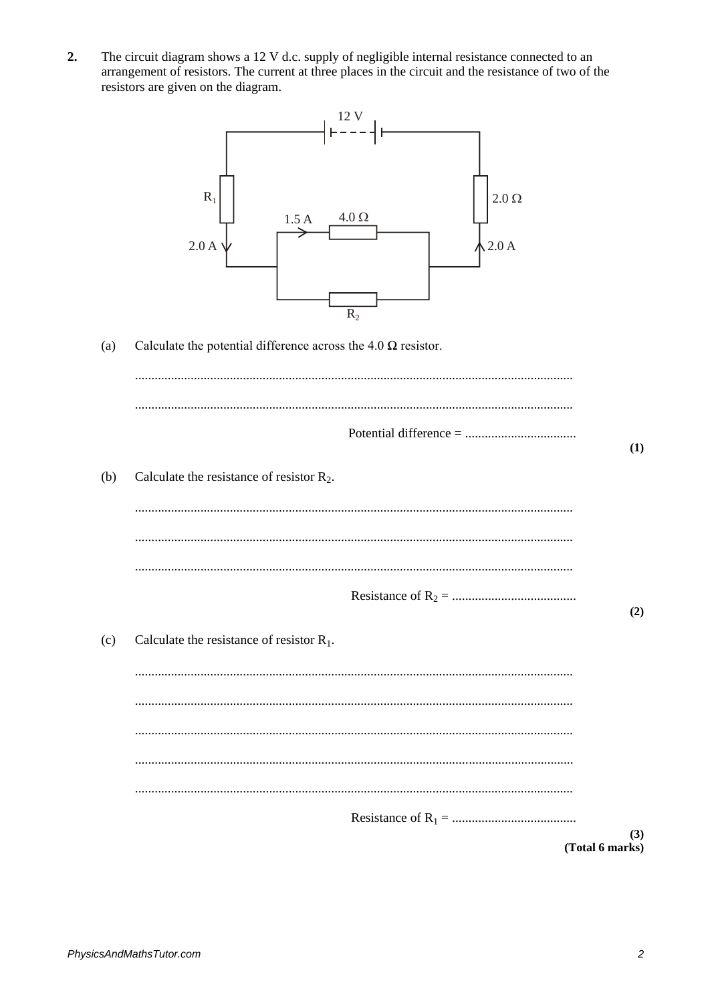$2.$ The circuit diagram shows a 12 V d.c. supply of negligible internal resistance connected to an arrangement of resistors. The current at three places in the circuit and the resistance of two of the resistors are given on the diagram.



Calculate the potential difference across the 4.0  $\Omega$  resistor.  $(a)$ 

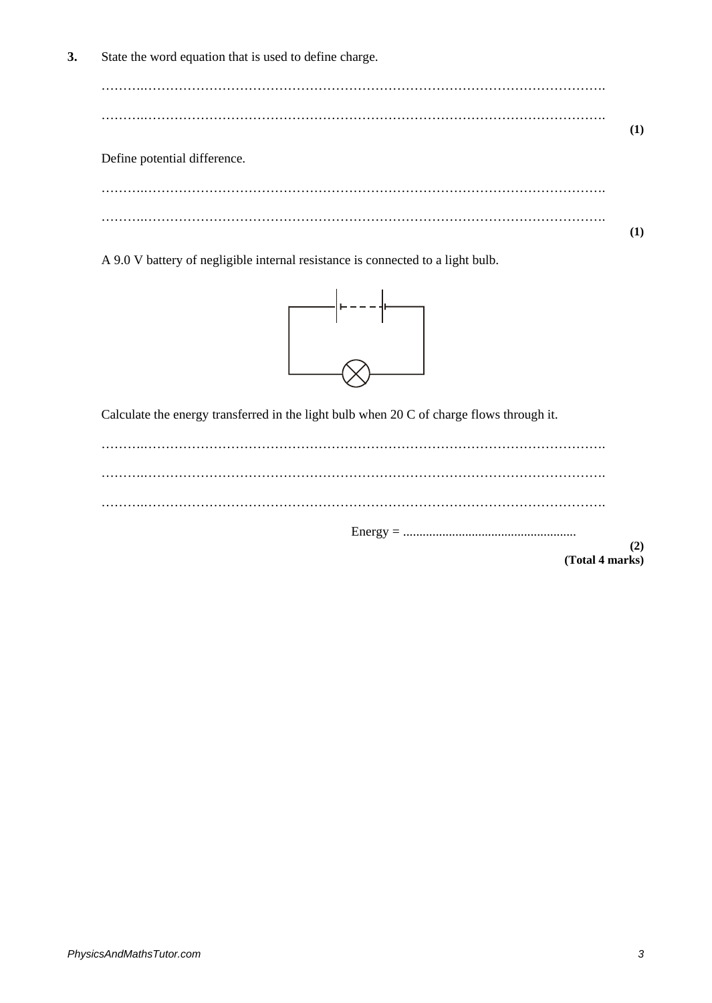**3.** State the word equation that is used to define charge.

Define potential difference.

……….……………………………………………………………………………………………. ……….……………………………………………………………………………………………. **(1)**

A 9.0 V battery of negligible internal resistance is connected to a light bulb.



Calculate the energy transferred in the light bulb when 20 C of charge flows through it.

**(2) (Total 4 marks)**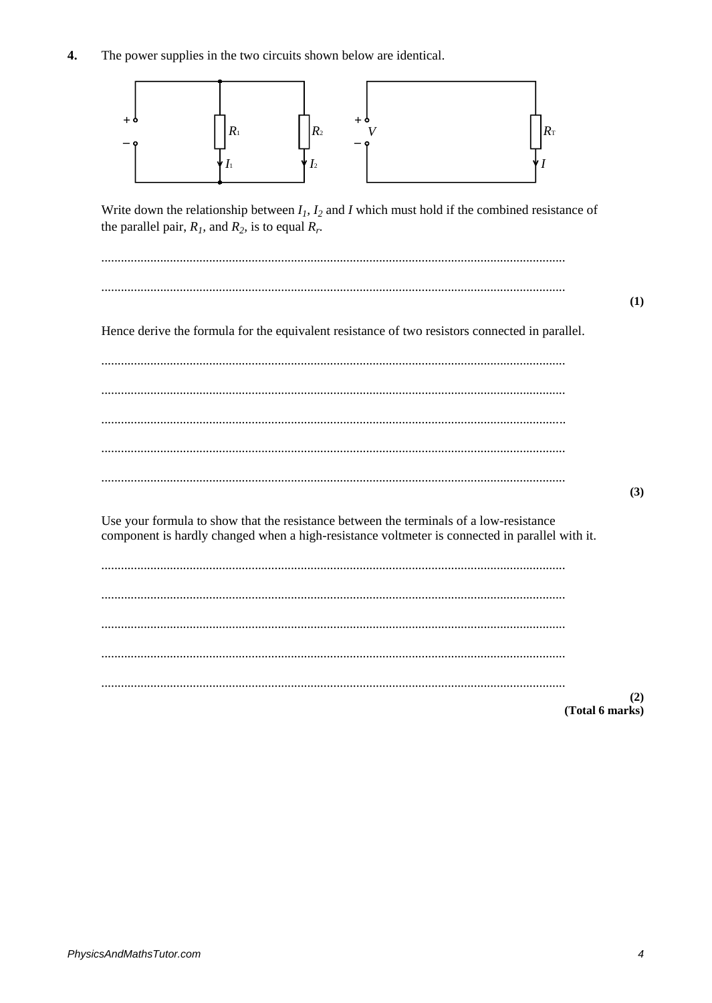4. The power supplies in the two circuits shown below are identical.



Write down the relationship between  $I_1$ ,  $I_2$  and I which must hold if the combined resistance of the parallel pair,  $R_l$ , and  $R_2$ , is to equal  $R_r$ .

|                                                                                                                                                                                          | (1)             |
|------------------------------------------------------------------------------------------------------------------------------------------------------------------------------------------|-----------------|
| Hence derive the formula for the equivalent resistance of two resistors connected in parallel.                                                                                           |                 |
|                                                                                                                                                                                          |                 |
|                                                                                                                                                                                          |                 |
|                                                                                                                                                                                          |                 |
|                                                                                                                                                                                          |                 |
|                                                                                                                                                                                          | (3)             |
| Use your formula to show that the resistance between the terminals of a low-resistance<br>component is hardly changed when a high-resistance voltmeter is connected in parallel with it. |                 |
|                                                                                                                                                                                          |                 |
|                                                                                                                                                                                          |                 |
|                                                                                                                                                                                          |                 |
|                                                                                                                                                                                          |                 |
|                                                                                                                                                                                          | (2)             |
|                                                                                                                                                                                          | (Total 6 marks) |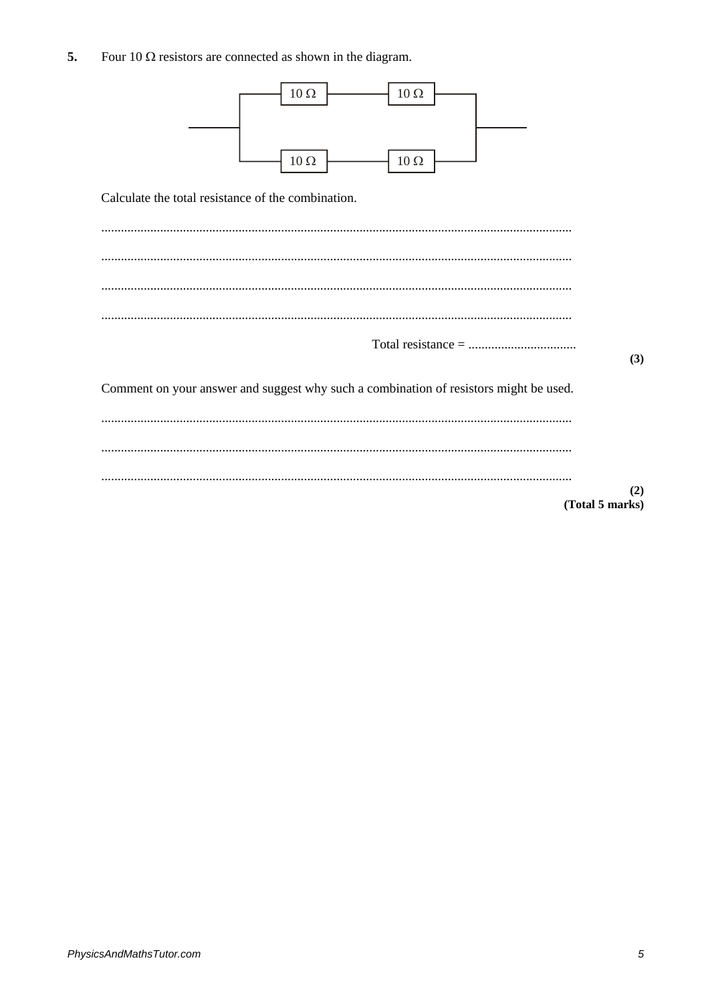5. Four 10  $\Omega$  resistors are connected as shown in the diagram.

| $10\,\Omega$<br>$10\,\Omega$<br>$10\,\Omega$<br>$10\,\Omega$<br>Calculate the total resistance of the combination. |                        |
|--------------------------------------------------------------------------------------------------------------------|------------------------|
| $Total resistance = 100$                                                                                           |                        |
| Comment on your answer and suggest why such a combination of resistors might be used.                              | (3)                    |
|                                                                                                                    |                        |
|                                                                                                                    |                        |
|                                                                                                                    | (2)<br>(Total 5 marks) |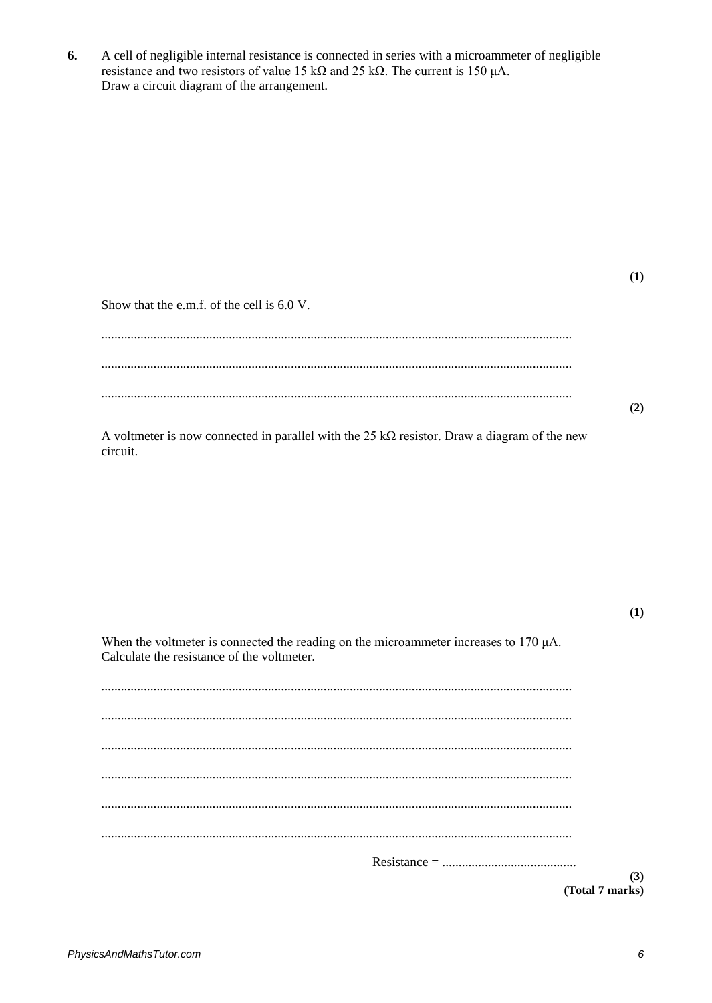6. A cell of negligible internal resistance is connected in series with a microammeter of negligible resistance and two resistors of value 15 k $\Omega$  and 25 k $\Omega$ . The current is 150 µA. Draw a circuit diagram of the arrangement.

 $(1)$ 

Show that the e.m.f. of the cell is 6.0 V.

 $(2)$ 

A voltmeter is now connected in parallel with the 25 k $\Omega$  resistor. Draw a diagram of the new circuit.

 $(1)$ 

When the voltmeter is connected the reading on the microammeter increases to  $170 \mu A$ . Calculate the resistance of the voltmeter.

(Total 7 marks)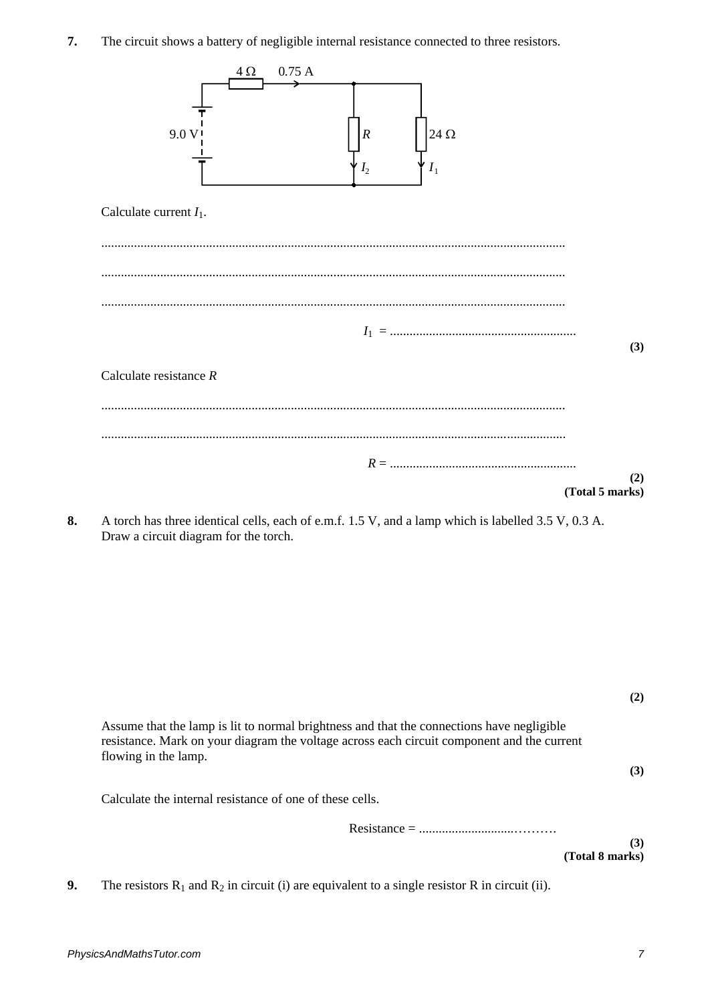**7.** The circuit shows a battery of negligible internal resistance connected to three resistors.



**8.** A torch has three identical cells, each of e.m.f. 1.5 V, and a lamp which is labelled 3.5 V, 0.3 A. Draw a circuit diagram for the torch.

|                                                                                                                                                                                                                 | (2) |
|-----------------------------------------------------------------------------------------------------------------------------------------------------------------------------------------------------------------|-----|
| Assume that the lamp is lit to normal brightness and that the connections have negligible<br>resistance. Mark on your diagram the voltage across each circuit component and the current<br>flowing in the lamp. |     |
|                                                                                                                                                                                                                 | (3) |
| Calculate the internal resistance of one of these cells.                                                                                                                                                        |     |
|                                                                                                                                                                                                                 |     |
|                                                                                                                                                                                                                 | (3) |
| (Total 8 marks)                                                                                                                                                                                                 |     |

**9.** The resistors  $R_1$  and  $R_2$  in circuit (i) are equivalent to a single resistor R in circuit (ii).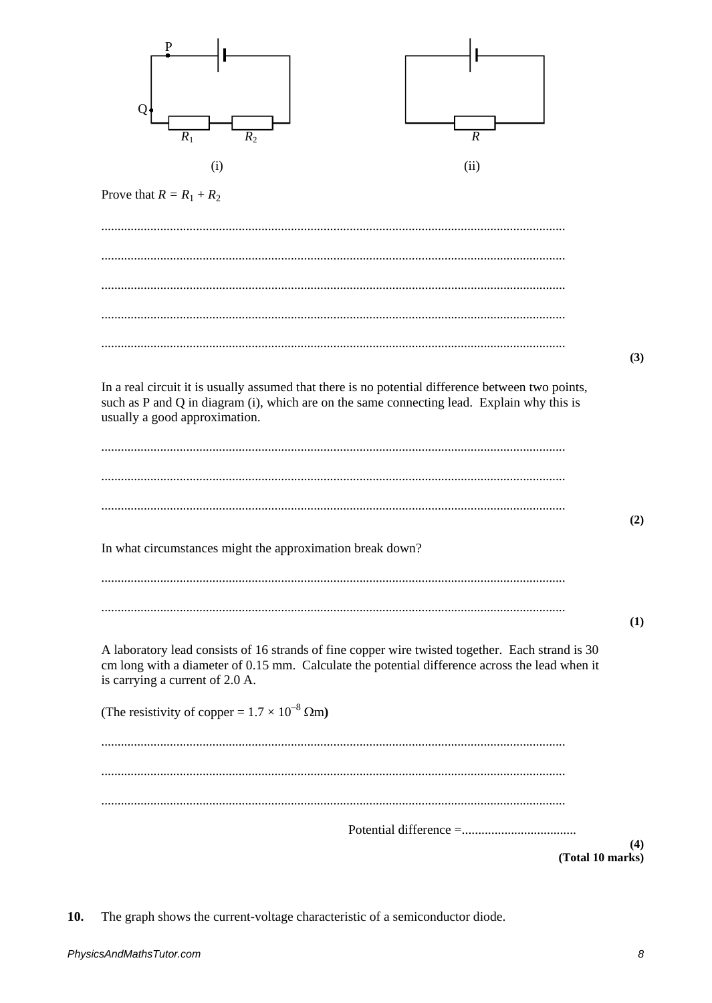

10. The graph shows the current-voltage characteristic of a semiconductor diode.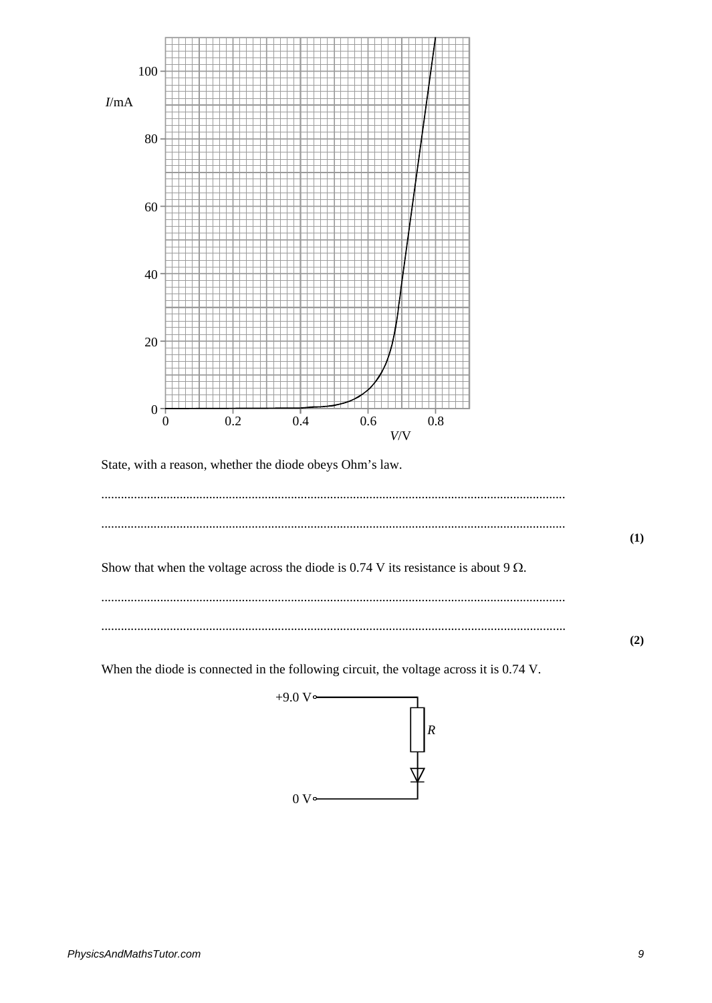

State, with a reason, whether the diode obeys Ohm's law.

| Show that when the voltage across the diode is 0.74 V its resistance is about 9 $\Omega$ . |  |
|--------------------------------------------------------------------------------------------|--|
|                                                                                            |  |

When the diode is connected in the following circuit, the voltage across it is 0.74 V.



 $(2)$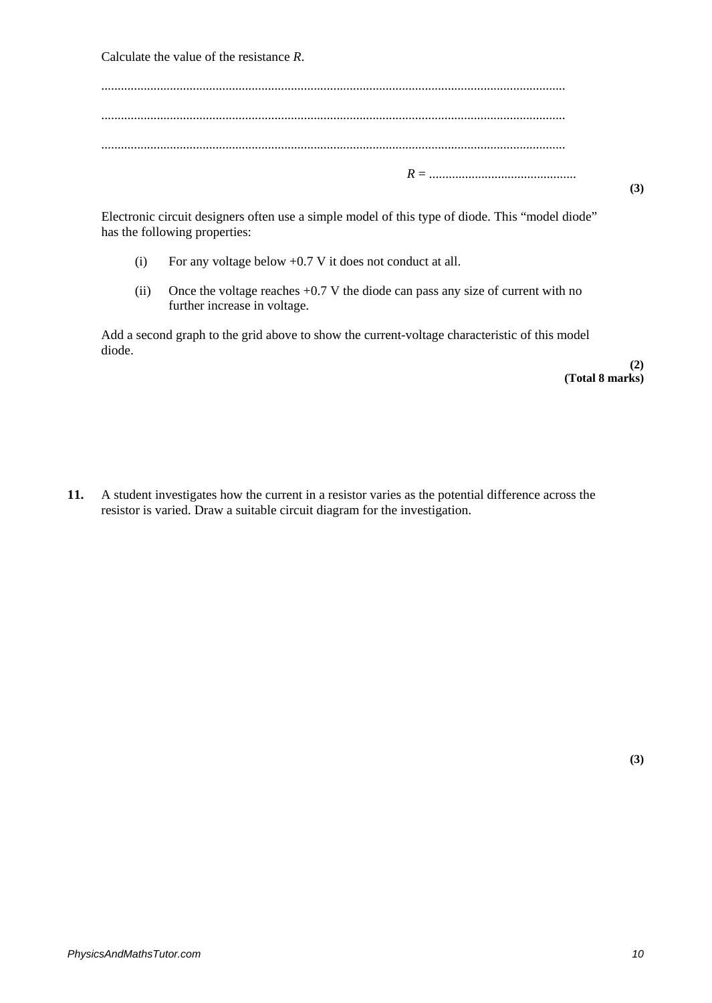Calculate the value of the resistance *R*.

Electronic circuit designers often use a simple model of this type of diode. This "model diode" has the following properties:

- (i) For any voltage below +0.7 V it does not conduct at all.
- (ii) Once the voltage reaches +0.7 V the diode can pass any size of current with no further increase in voltage.

Add a second graph to the grid above to show the current-voltage characteristic of this model diode.

> **(2) (Total 8 marks)**

**11.** A student investigates how the current in a resistor varies as the potential difference across the resistor is varied. Draw a suitable circuit diagram for the investigation.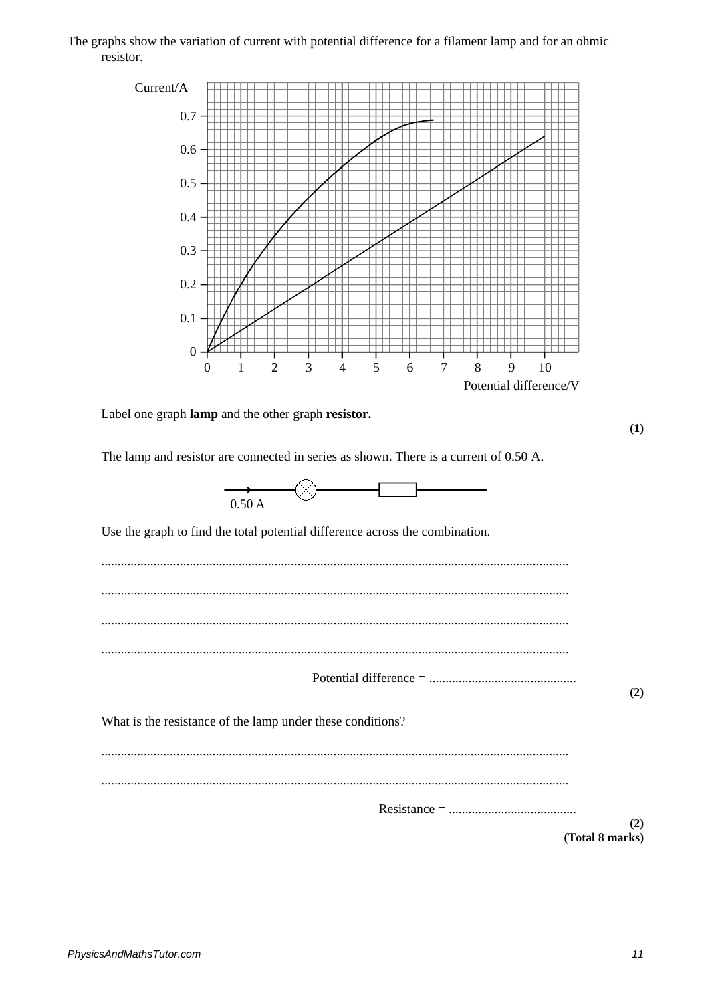## The graphs show the variation of current with potential difference for a filament lamp and for an ohmic resistor.

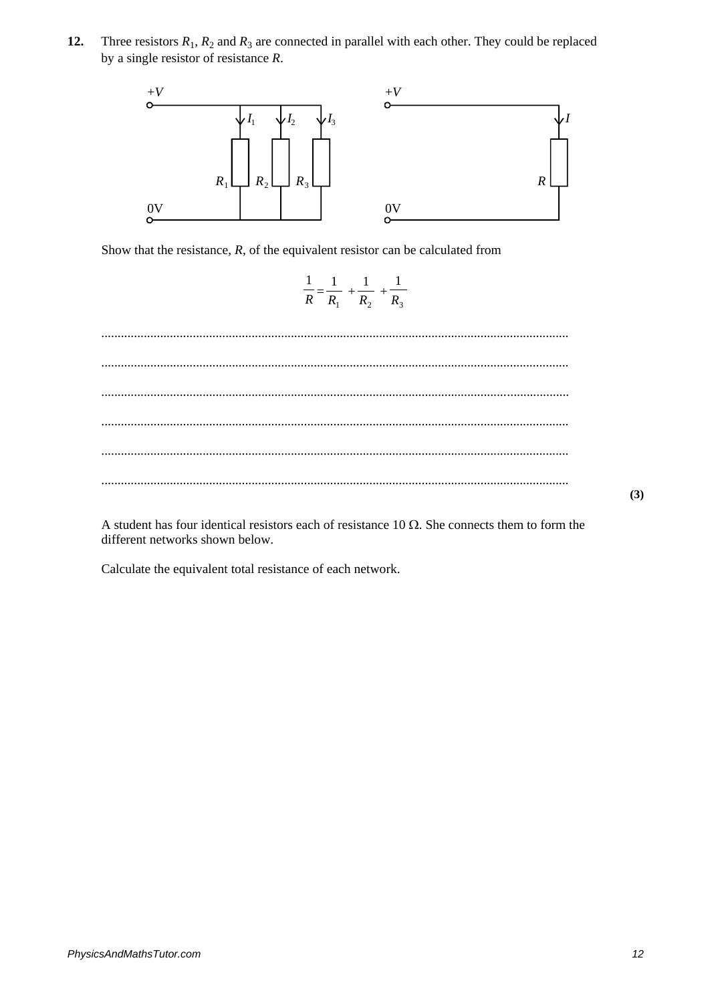**12.** Three resistors  $R_1$ ,  $R_2$  and  $R_3$  are connected in parallel with each other. They could be replaced by a single resistor of resistance *R*.



Show that the resistance,  $R$ , of the equivalent resistor can be calculated from

$$
\frac{1}{R} = \frac{1}{R_1} + \frac{1}{R_2} + \frac{1}{R_3}
$$

............................................................................................................................................... ............................................................................................................................................... ............................................................................................................................................... ............................................................................................................................................... ............................................................................................................................................... ...............................................................................................................................................

A student has four identical resistors each of resistance 10  $\Omega$ . She connects them to form the different networks shown below.

Calculate the equivalent total resistance of each network.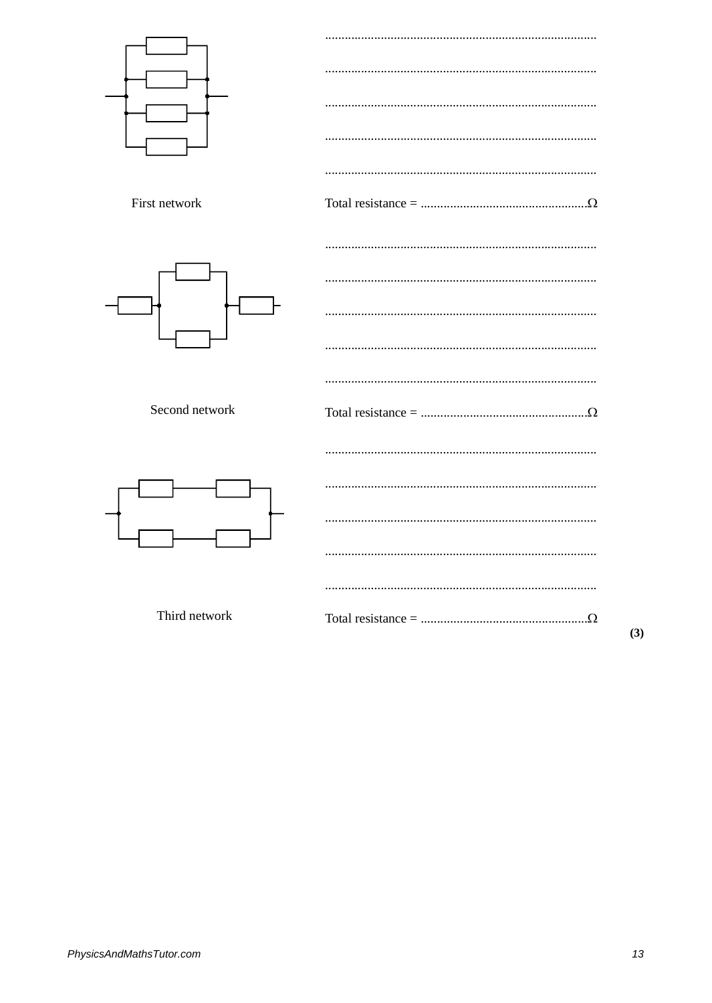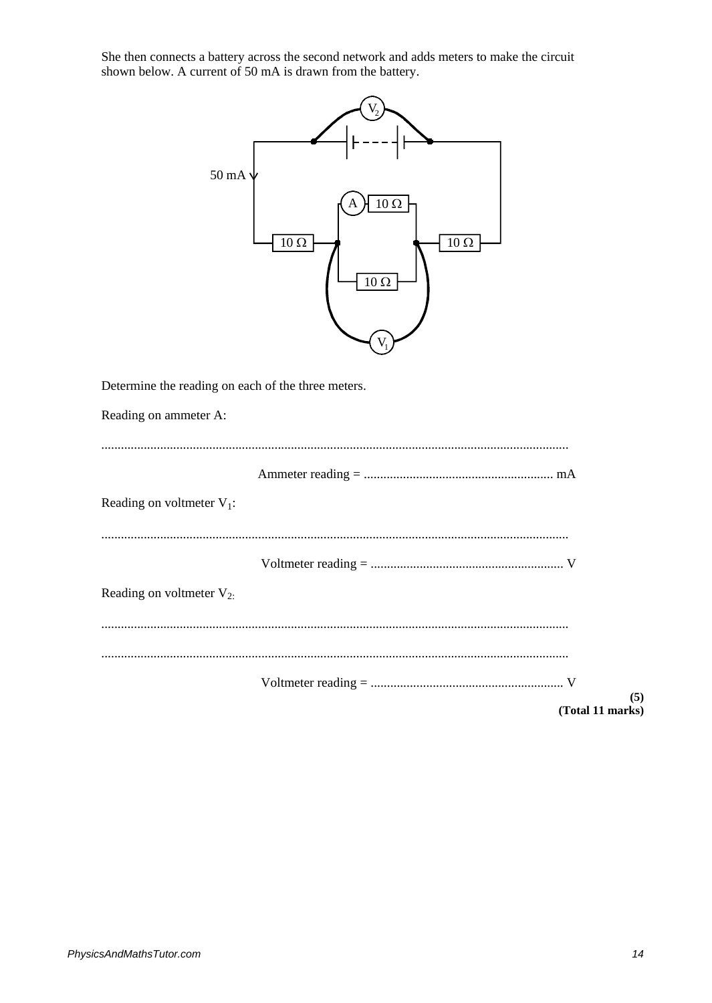She then connects a battery across the second network and adds meters to make the circuit shown below. A current of 50 mA is drawn from the battery.

| $50\,\rm mA$<br>$10 \Omega$<br>$10\ \Omega$<br>$10\ \Omega$<br>$10 \Omega$ |
|----------------------------------------------------------------------------|
| Determine the reading on each of the three meters.                         |
| Reading on ammeter A:                                                      |
| Reading on voltmeter $V_1$ :                                               |
| Reading on voltmeter $V_{2}$ .                                             |
|                                                                            |
| (5)<br>(Total 11 marks)                                                    |